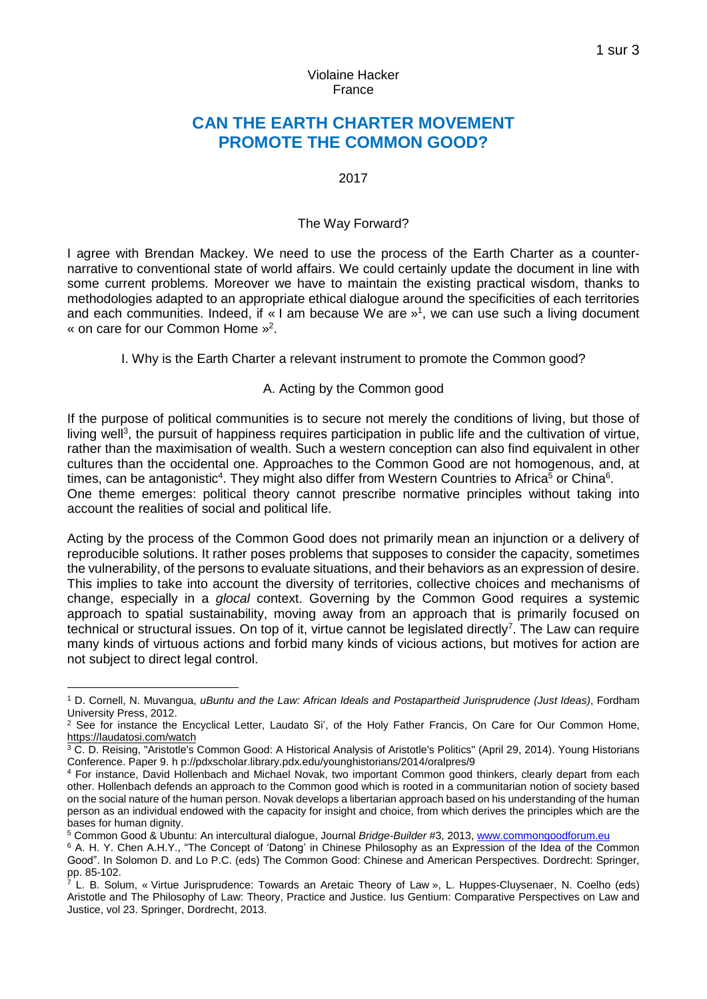### Violaine Hacker France

# **CAN THE EARTH CHARTER MOVEMENT PROMOTE THE COMMON GOOD?**

### 2017

### The Way Forward?

I agree with Brendan Mackey. We need to use the process of the Earth Charter as a counternarrative to conventional state of world affairs. We could certainly update the document in line with some current problems. Moreover we have to maintain the existing practical wisdom, thanks to methodologies adapted to an appropriate ethical dialogue around the specificities of each territories and each communities. Indeed, if « I am because We are »<sup>1</sup>, we can use such a living document « on care for our Common Home » 2 .

I. Why is the Earth Charter a relevant instrument to promote the Common good?

### A. Acting by the Common good

If the purpose of political communities is to secure not merely the conditions of living, but those of living well<sup>3</sup>, the pursuit of happiness requires participation in public life and the cultivation of virtue, rather than the maximisation of wealth. Such a western conception can also find equivalent in other cultures than the occidental one. Approaches to the Common Good are not homogenous, and, at times, can be antagonistic<sup>4</sup>. They might also differ from Western Countries to Africa<sup>5</sup> or China<sup>6</sup>. One theme emerges: political theory cannot prescribe normative principles without taking into account the realities of social and political life.

Acting by the process of the Common Good does not primarily mean an injunction or a delivery of reproducible solutions. It rather poses problems that supposes to consider the capacity, sometimes the vulnerability, of the persons to evaluate situations, and their behaviors as an expression of desire. This implies to take into account the diversity of territories, collective choices and mechanisms of change, especially in a *glocal* context. Governing by the Common Good requires a systemic approach to spatial sustainability, moving away from an approach that is primarily focused on technical or structural issues. On top of it, virtue cannot be legislated directly<sup>7</sup>. The Law can require many kinds of virtuous actions and forbid many kinds of vicious actions, but motives for action are not subject to direct legal control.

1

<sup>1</sup> D. Cornell, N. Muvangua, *uBuntu and the Law: African Ideals and Postapartheid Jurisprudence (Just Ideas)*, Fordham University Press, 2012.

<sup>&</sup>lt;sup>2</sup> See for instance the Encyclical Letter, Laudato Si', of the Holy Father Francis, On Care for Our Common Home, <https://laudatosi.com/watch>

<sup>&</sup>lt;sup>3</sup> C. D. Reising, "Aristotle's Common Good: A Historical Analysis of Aristotle's Politics" (April 29, 2014). Young Historians Conference. Paper 9. h p://pdxscholar.library.pdx.edu/younghistorians/2014/oralpres/9

<sup>4</sup> For instance, David Hollenbach and Michael Novak, two important Common good thinkers, clearly depart from each other. Hollenbach defends an approach to the Common good which is rooted in a communitarian notion of society based on the social nature of the human person. Novak develops a libertarian approach based on his understanding of the human person as an individual endowed with the capacity for insight and choice, from which derives the principles which are the bases for human dignity.

<sup>5</sup> Common Good & Ubuntu: An intercultural dialogue, Journal *Bridge-Builder* #3, 2013, [www.commongoodforum.eu](http://www.commongoodforum.eu/)

<sup>6</sup> A. H. Y. Chen A.H.Y., "The Concept of 'Datong' in Chinese Philosophy as an Expression of the Idea of the Common Good". In Solomon D. and Lo P.C. (eds) The Common Good: Chinese and American Perspectives. Dordrecht: Springer, pp. 85-102.

<sup>7</sup> L. B. Solum, « Virtue Jurisprudence: Towards an Aretaic Theory of Law », L. Huppes-Cluysenaer, N. Coelho (eds) Aristotle and The Philosophy of Law: Theory, Practice and Justice. Ius Gentium: Comparative Perspectives on Law and Justice, vol 23. Springer, Dordrecht, 2013.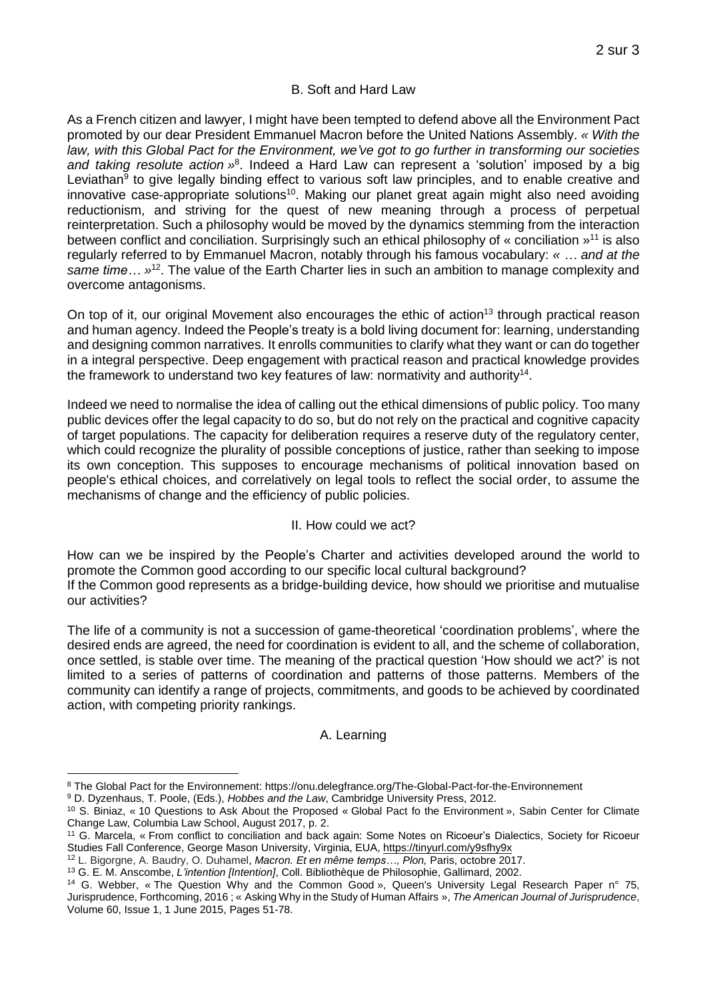# B. Soft and Hard Law

As a French citizen and lawyer, I might have been tempted to defend above all the Environment Pact promoted by our dear President Emmanuel Macron before the United Nations Assembly. *« With the law, with this Global Pact for the Environment, we've got to go further in transforming our societies* and *taking resolute action* »<sup>8</sup>. Indeed a Hard Law can represent a 'solution' imposed by a big Leviathan<sup>9</sup> to give legally binding effect to various soft law principles, and to enable creative and innovative case-appropriate solutions<sup>10</sup>. Making our planet great again might also need avoiding reductionism, and striving for the quest of new meaning through a process of perpetual reinterpretation. Such a philosophy would be moved by the dynamics stemming from the interaction between conflict and conciliation. Surprisingly such an ethical philosophy of « conciliation »<sup>11</sup> is also regularly referred to by Emmanuel Macron, notably through his famous vocabulary: *« … and at the* same time... »<sup>12</sup>. The value of the Earth Charter lies in such an ambition to manage complexity and overcome antagonisms.

On top of it, our original Movement also encourages the ethic of action<sup>13</sup> through practical reason and human agency. Indeed the People's treaty is a bold living document for: learning, understanding and designing common narratives. It enrolls communities to clarify what they want or can do together in a integral perspective. Deep engagement with practical reason and practical knowledge provides the framework to understand two key features of law: normativity and authority<sup>14</sup>.

Indeed we need to normalise the idea of calling out the ethical dimensions of public policy. Too many public devices offer the legal capacity to do so, but do not rely on the practical and cognitive capacity of target populations. The capacity for deliberation requires a reserve duty of the regulatory center, which could recognize the plurality of possible conceptions of justice, rather than seeking to impose its own conception. This supposes to encourage mechanisms of political innovation based on people's ethical choices, and correlatively on legal tools to reflect the social order, to assume the mechanisms of change and the efficiency of public policies.

# II. How could we act?

How can we be inspired by the People's Charter and activities developed around the world to promote the Common good according to our specific local cultural background? If the Common good represents as a bridge-building device, how should we prioritise and mutualise our activities?

The life of a community is not a succession of game-theoretical 'coordination problems', where the desired ends are agreed, the need for coordination is evident to all, and the scheme of collaboration, once settled, is stable over time. The meaning of the practical question 'How should we act?' is not limited to a series of patterns of coordination and patterns of those patterns. Members of the community can identify a range of projects, commitments, and goods to be achieved by coordinated action, with competing priority rankings.

# A. Learning

<sup>12</sup> L. Bigorgne, A. Baudry, O. Duhamel, *Macron. Et en même temps…, Plon,* Paris, octobre 2017.

<sup>&</sup>lt;u>.</u> <sup>8</sup> The Global Pact for the Environnement: <https://onu.delegfrance.org/The-Global-Pact-for-the-Environnement>

<sup>9</sup> D. Dyzenhaus, T. Poole, (Eds.), *Hobbes and the Law*, Cambridge University Press, 2012.

<sup>10</sup> S. Biniaz, « 10 Questions to Ask About the Proposed « Global Pact fo the Environment », Sabin Center for Climate Change Law, Columbia Law School, August 2017, p. 2.

<sup>11</sup> G. Marcela, « From conflict to conciliation and back again: Some Notes on Ricoeur's Dialectics, Society for Ricoeur Studies Fall Conference, George Mason University, Virginia, EUA, <https://tinyurl.com/y9sfhy9x>

<sup>13</sup> G. E. M. Anscombe, *L'intention [Intention]*, Coll. [Bibliothèque](http://www.gallimard.fr/Catalogue/GALLIMARD/Bibliotheque-de-Philosophie) de Philosophie, Gallimard, 2002.

<sup>14</sup> G. Webber, « The Question Why and the Common Good », Queen's University Legal Research Paper n° 75, Jurisprudence, Forthcoming, 2016 ; « Asking Why in the Study of Human Affairs », *The American Journal of Jurisprudence*, Volume 60, Issue 1, 1 June 2015, Pages 51-78.